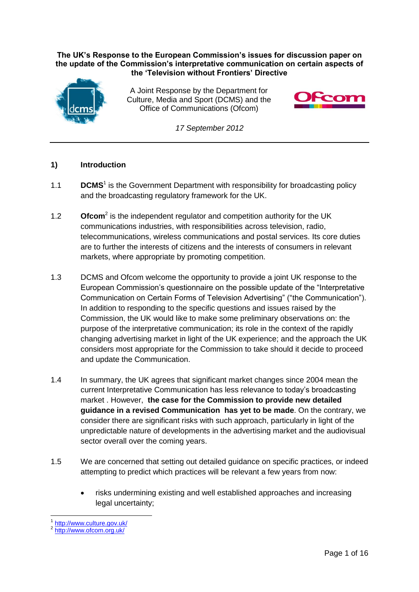#### **The UK's Response to the European Commission's issues for discussion paper on the update of the Commission's interpretative communication on certain aspects of the 'Television without Frontiers' Directive**



A Joint Response by the Department for Culture, Media and Sport (DCMS) and the Office of Communications (Ofcom)



*17 September 2012*

#### **1) Introduction**

- 1.1 **DCMS<sup>1</sup>** is the Government Department with responsibility for broadcasting policy and the broadcasting regulatory framework for the UK.
- 1.2 **Ofcom<sup>2</sup>** is the independent regulator and competition authority for the UK communications industries, with responsibilities across television, radio, telecommunications, wireless communications and postal services. Its core duties are to further the interests of citizens and the interests of consumers in relevant markets, where appropriate by promoting competition.
- 1.3 DCMS and Ofcom welcome the opportunity to provide a joint UK response to the European Commission's questionnaire on the possible update of the "Interpretative Communication on Certain Forms of Television Advertising" ("the Communication"). In addition to responding to the specific questions and issues raised by the Commission, the UK would like to make some preliminary observations on: the purpose of the interpretative communication; its role in the context of the rapidly changing advertising market in light of the UK experience; and the approach the UK considers most appropriate for the Commission to take should it decide to proceed and update the Communication.
- 1.4 In summary, the UK agrees that significant market changes since 2004 mean the current Interpretative Communication has less relevance to today's broadcasting market . However, **the case for the Commission to provide new detailed guidance in a revised Communication has yet to be made**. On the contrary, we consider there are significant risks with such approach, particularly in light of the unpredictable nature of developments in the advertising market and the audiovisual sector overall over the coming years.
- 1.5 We are concerned that setting out detailed guidance on specific practices, or indeed attempting to predict which practices will be relevant a few years from now:
	- risks undermining existing and well established approaches and increasing legal uncertainty;

 $\overline{\phantom{a}}$ 1 <http://www.culture.gov.uk/>

<sup>2</sup> <http://www.ofcom.org.uk/>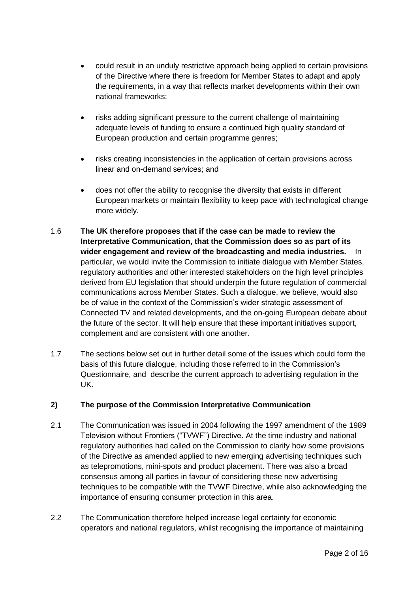- could result in an unduly restrictive approach being applied to certain provisions of the Directive where there is freedom for Member States to adapt and apply the requirements, in a way that reflects market developments within their own national frameworks;
- risks adding significant pressure to the current challenge of maintaining adequate levels of funding to ensure a continued high quality standard of European production and certain programme genres;
- risks creating inconsistencies in the application of certain provisions across linear and on-demand services; and
- does not offer the ability to recognise the diversity that exists in different European markets or maintain flexibility to keep pace with technological change more widely.
- 1.6 **The UK therefore proposes that if the case can be made to review the Interpretative Communication, that the Commission does so as part of its wider engagement and review of the broadcasting and media industries.** In particular, we would invite the Commission to initiate dialogue with Member States, regulatory authorities and other interested stakeholders on the high level principles derived from EU legislation that should underpin the future regulation of commercial communications across Member States. Such a dialogue, we believe, would also be of value in the context of the Commission's wider strategic assessment of Connected TV and related developments, and the on-going European debate about the future of the sector. It will help ensure that these important initiatives support, complement and are consistent with one another.
- 1.7 The sections below set out in further detail some of the issues which could form the basis of this future dialogue, including those referred to in the Commission's Questionnaire, and describe the current approach to advertising regulation in the UK.

# **2) The purpose of the Commission Interpretative Communication**

- 2.1 The Communication was issued in 2004 following the 1997 amendment of the 1989 Television without Frontiers ("TVWF") Directive. At the time industry and national regulatory authorities had called on the Commission to clarify how some provisions of the Directive as amended applied to new emerging advertising techniques such as telepromotions, mini-spots and product placement. There was also a broad consensus among all parties in favour of considering these new advertising techniques to be compatible with the TVWF Directive, while also acknowledging the importance of ensuring consumer protection in this area.
- 2.2 The Communication therefore helped increase legal certainty for economic operators and national regulators, whilst recognising the importance of maintaining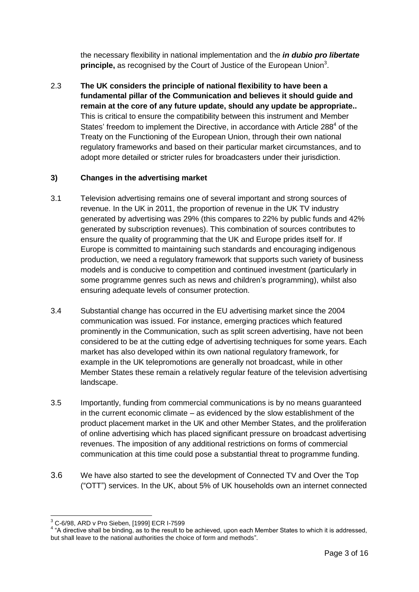the necessary flexibility in national implementation and the *in dubio pro libertate* **principle,** as recognised by the Court of Justice of the European Union<sup>3</sup>.

2.3 **The UK considers the principle of national flexibility to have been a fundamental pillar of the Communication and believes it should guide and remain at the core of any future update, should any update be appropriate..** This is critical to ensure the compatibility between this instrument and Member States' freedom to implement the Directive, in accordance with Article 288<sup>4</sup> of the Treaty on the Functioning of the European Union, through their own national regulatory frameworks and based on their particular market circumstances, and to adopt more detailed or stricter rules for broadcasters under their jurisdiction.

#### **3) Changes in the advertising market**

- 3.1 Television advertising remains one of several important and strong sources of revenue. In the UK in 2011, the proportion of revenue in the UK TV industry generated by advertising was 29% (this compares to 22% by public funds and 42% generated by subscription revenues). This combination of sources contributes to ensure the quality of programming that the UK and Europe prides itself for. If Europe is committed to maintaining such standards and encouraging indigenous production, we need a regulatory framework that supports such variety of business models and is conducive to competition and continued investment (particularly in some programme genres such as news and children's programming), whilst also ensuring adequate levels of consumer protection.
- 3.4 Substantial change has occurred in the EU advertising market since the 2004 communication was issued. For instance, emerging practices which featured prominently in the Communication, such as split screen advertising, have not been considered to be at the cutting edge of advertising techniques for some years. Each market has also developed within its own national regulatory framework, for example in the UK telepromotions are generally not broadcast, while in other Member States these remain a relatively regular feature of the television advertising landscape.
- 3.5 Importantly, funding from commercial communications is by no means guaranteed in the current economic climate – as evidenced by the slow establishment of the product placement market in the UK and other Member States, and the proliferation of online advertising which has placed significant pressure on broadcast advertising revenues. The imposition of any additional restrictions on forms of commercial communication at this time could pose a substantial threat to programme funding.
- 3.6 We have also started to see the development of Connected TV and Over the Top ("OTT") services. In the UK, about 5% of UK households own an internet connected

 $\overline{\phantom{a}}$ <sup>3</sup> C-6/98, ARD v Pro Sieben, [1999] ECR I-7599

 $4$  "A directive shall be binding, as to the result to be achieved, upon each Member States to which it is addressed, but shall leave to the national authorities the choice of form and methods".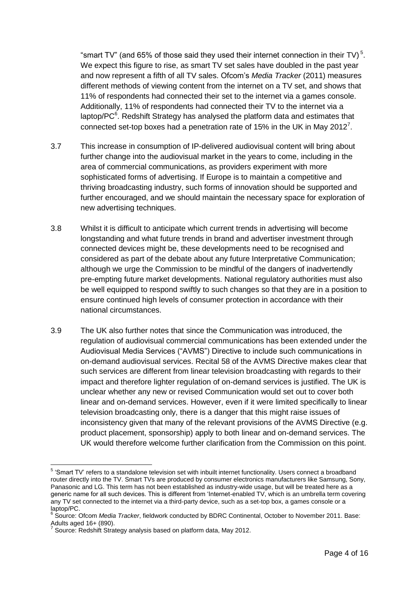"smart TV" (and 65% of those said they used their internet connection in their TV)<sup>5</sup>. We expect this figure to rise, as smart TV set sales have doubled in the past year and now represent a fifth of all TV sales. Ofcom's *Media Tracker* (2011) measures different methods of viewing content from the internet on a TV set, and shows that 11% of respondents had connected their set to the internet via a games console. Additionally, 11% of respondents had connected their TV to the internet via a laptop/ $PC<sup>6</sup>$ . Redshift Strategy has analysed the platform data and estimates that connected set-top boxes had a penetration rate of 15% in the UK in May 2012<sup>7</sup>.

- 3.7 This increase in consumption of IP-delivered audiovisual content will bring about further change into the audiovisual market in the years to come, including in the area of commercial communications, as providers experiment with more sophisticated forms of advertising. If Europe is to maintain a competitive and thriving broadcasting industry, such forms of innovation should be supported and further encouraged, and we should maintain the necessary space for exploration of new advertising techniques.
- 3.8 Whilst it is difficult to anticipate which current trends in advertising will become longstanding and what future trends in brand and advertiser investment through connected devices might be, these developments need to be recognised and considered as part of the debate about any future Interpretative Communication; although we urge the Commission to be mindful of the dangers of inadvertendly pre-empting future market developments. National regulatory authorities must also be well equipped to respond swiftly to such changes so that they are in a position to ensure continued high levels of consumer protection in accordance with their national circumstances.
- 3.9 The UK also further notes that since the Communication was introduced, the regulation of audiovisual commercial communications has been extended under the Audiovisual Media Services ("AVMS") Directive to include such communications in on-demand audiovisual services. Recital 58 of the AVMS Directive makes clear that such services are different from linear television broadcasting with regards to their impact and therefore lighter regulation of on-demand services is justified. The UK is unclear whether any new or revised Communication would set out to cover both linear and on-demand services. However, even if it were limited specifically to linear television broadcasting only, there is a danger that this might raise issues of inconsistency given that many of the relevant provisions of the AVMS Directive (e.g. product placement, sponsorship) apply to both linear and on-demand services. The UK would therefore welcome further clarification from the Commission on this point.

 5 'Smart TV' refers to a standalone television set with inbuilt internet functionality. Users connect a broadband router directly into the TV. Smart TVs are produced by consumer electronics manufacturers like Samsung, Sony, Panasonic and LG. This term has not been established as industry-wide usage, but will be treated here as a generic name for all such devices. This is different from 'Internet-enabled TV, which is an umbrella term covering any TV set connected to the internet via a third-party device, such as a set-top box, a games console or a laptop/PC.

<sup>&</sup>lt;sup>6</sup> Source: Ofcom *Media Tracker*, fieldwork conducted by BDRC Continental, October to November 2011. Base:

Adults aged 16+ (890). 7 Source: Redshift Strategy analysis based on platform data, May 2012.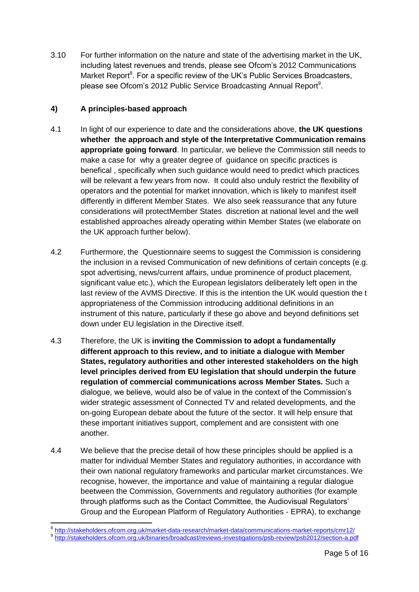3.10 For further information on the nature and state of the advertising market in the UK, including latest revenues and trends, please see Ofcom's 2012 Communications Market Report<sup>8</sup>. For a specific review of the UK's Public Services Broadcasters, please see Ofcom's 2012 Public Service Broadcasting Annual Report<sup>9</sup>.

# **4) A principles-based approach**

- 4.1 In light of our experience to date and the considerations above, **the UK questions whether the approach and style of the Interpretative Communication remains appropriate going forward**. In particular, we believe the Commission still needs to make a case for why a greater degree of guidance on specific practices is benefical , specifically when such guidance would need to predict which practices will be relevant a few years from now. It could also unduly restrict the flexibility of operators and the potential for market innovation, which is likely to manifest itself differently in different Member States. We also seek reassurance that any future considerations will protectMember States discretion at national level and the well established approaches already operating within Member States (we elaborate on the UK approach further below).
- 4.2 Furthermore, the Questionnaire seems to suggest the Commission is considering the inclusion in a revised Communication of new definitions of certain concepts (e.g. spot advertising, news/current affairs, undue prominence of product placement, significant value etc.), which the European legislators deliberately left open in the last review of the AVMS Directive. If this is the intention the UK would question the t appropriateness of the Commission introducing additional definitions in an instrument of this nature, particularly if these go above and beyond definitions set down under EU legislation in the Directive itself.
- 4.3 Therefore, the UK is **inviting the Commission to adopt a fundamentally different approach to this review, and to initiate a dialogue with Member States, regulatory authorities and other interested stakeholders on the high level principles derived from EU legislation that should underpin the future regulation of commercial communications across Member States.** Such a dialogue, we believe, would also be of value in the context of the Commission's wider strategic assessment of Connected TV and related developments, and the on-going European debate about the future of the sector. It will help ensure that these important initiatives support, complement and are consistent with one another.
- 4.4 We believe that the precise detail of how these principles should be applied is a matter for individual Member States and regulatory authorities, in accordance with their own national regulatory frameworks and particular market circumstances. We recognise, however, the importance and value of maintaining a regular dialogue beetween the Commission, Governments and regulatory authorities (for example through platforms such as the Contact Committee, the Audiovisual Regulators' Group and the European Platform of Regulatory Authorities - EPRA), to exchange

<sup>&</sup>lt;u>s</u><br>8 <u><http://stakeholders.ofcom.org.uk/market-data-research/market-data/communications-market-reports/cmr12/><br><sup>9</sup> http://stakeholders.ofcom.org.uk/hinorica/breadeast/reviews.investigations/peb.review/peb2012/aestion.o.p</u> <http://stakeholders.ofcom.org.uk/binaries/broadcast/reviews-investigations/psb-review/psb2012/section-a.pdf>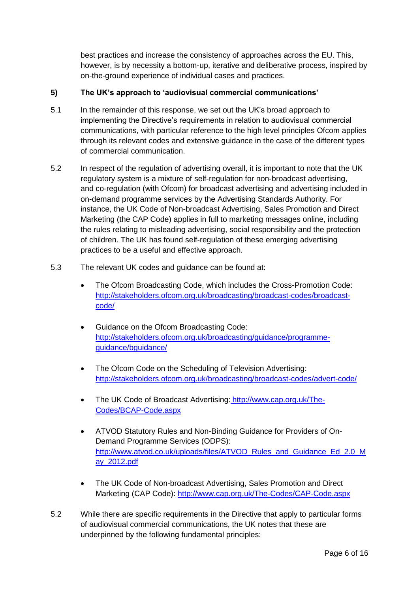best practices and increase the consistency of approaches across the EU. This, however, is by necessity a bottom-up, iterative and deliberative process, inspired by on-the-ground experience of individual cases and practices.

#### **5) The UK's approach to 'audiovisual commercial communications'**

- 5.1 In the remainder of this response, we set out the UK's broad approach to implementing the Directive's requirements in relation to audiovisual commercial communications, with particular reference to the high level principles Ofcom applies through its relevant codes and extensive guidance in the case of the different types of commercial communication.
- 5.2 In respect of the regulation of advertising overall, it is important to note that the UK regulatory system is a mixture of self-regulation for non-broadcast advertising, and co-regulation (with Ofcom) for broadcast advertising and advertising included in on-demand programme services by the Advertising Standards Authority. For instance, the UK Code of Non-broadcast Advertising, Sales Promotion and Direct Marketing (the CAP Code) applies in full to marketing messages online, including the rules relating to misleading advertising, social responsibility and the protection of children. The UK has found self-regulation of these emerging advertising practices to be a useful and effective approach.
- 5.3 The relevant UK codes and guidance can be found at:
	- The Ofcom Broadcasting Code, which includes the Cross-Promotion Code: [http://stakeholders.ofcom.org.uk/broadcasting/broadcast-codes/broadcast](http://stakeholders.ofcom.org.uk/broadcasting/broadcast-codes/broadcast-code/)[code/](http://stakeholders.ofcom.org.uk/broadcasting/broadcast-codes/broadcast-code/)
	- Guidance on the Ofcom Broadcasting Code: [http://stakeholders.ofcom.org.uk/broadcasting/guidance/programme](http://stakeholders.ofcom.org.uk/broadcasting/guidance/programme-guidance/bguidance/)[guidance/bguidance/](http://stakeholders.ofcom.org.uk/broadcasting/guidance/programme-guidance/bguidance/)
	- The Ofcom Code on the Scheduling of Television Advertising: <http://stakeholders.ofcom.org.uk/broadcasting/broadcast-codes/advert-code/>
	- The UK Code of Broadcast Advertising: [http://www.cap.org.uk/The-](http://www.cap.org.uk/The-Codes/BCAP-Code.aspx)[Codes/BCAP-Code.aspx](http://www.cap.org.uk/The-Codes/BCAP-Code.aspx)
	- ATVOD Statutory Rules and Non-Binding Guidance for Providers of On-Demand Programme Services (ODPS): [http://www.atvod.co.uk/uploads/files/ATVOD\\_Rules\\_and\\_Guidance\\_Ed\\_2.0\\_M](http://www.atvod.co.uk/uploads/files/ATVOD_Rules_and_Guidance_Ed_2.0_May_2012.pdf) [ay\\_2012.pdf](http://www.atvod.co.uk/uploads/files/ATVOD_Rules_and_Guidance_Ed_2.0_May_2012.pdf)
	- The UK Code of Non-broadcast Advertising, Sales Promotion and Direct Marketing (CAP Code): <http://www.cap.org.uk/The-Codes/CAP-Code.aspx>
- 5.2 While there are specific requirements in the Directive that apply to particular forms of audiovisual commercial communications, the UK notes that these are underpinned by the following fundamental principles: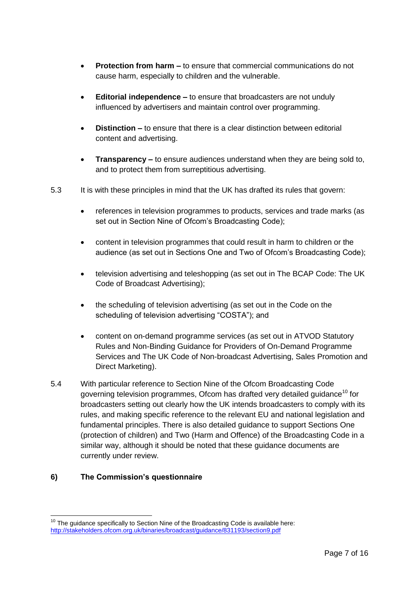- **Protection from harm –** to ensure that commercial communications do not cause harm, especially to children and the vulnerable.
- **Editorial independence –** to ensure that broadcasters are not unduly influenced by advertisers and maintain control over programming.
- **Distinction –** to ensure that there is a clear distinction between editorial content and advertising.
- **Transparency –** to ensure audiences understand when they are being sold to, and to protect them from surreptitious advertising.
- 5.3 It is with these principles in mind that the UK has drafted its rules that govern:
	- references in television programmes to products, services and trade marks (as set out in Section Nine of Ofcom's Broadcasting Code);
	- content in television programmes that could result in harm to children or the audience (as set out in Sections One and Two of Ofcom's Broadcasting Code);
	- television advertising and teleshopping (as set out in The BCAP Code: The UK Code of Broadcast Advertising);
	- the scheduling of television advertising (as set out in the Code on the scheduling of television advertising "COSTA"); and
	- content on on-demand programme services (as set out in ATVOD Statutory Rules and Non-Binding Guidance for Providers of On-Demand Programme Services and The UK Code of Non-broadcast Advertising, Sales Promotion and Direct Marketing).
- 5.4 With particular reference to Section Nine of the Ofcom Broadcasting Code governing television programmes, Ofcom has drafted very detailed guidance<sup>10</sup> for broadcasters setting out clearly how the UK intends broadcasters to comply with its rules, and making specific reference to the relevant EU and national legislation and fundamental principles. There is also detailed guidance to support Sections One (protection of children) and Two (Harm and Offence) of the Broadcasting Code in a similar way, although it should be noted that these guidance documents are currently under review.

# **6) The Commission's questionnaire**

 $\overline{\phantom{a}}$ 

 $10$  The guidance specifically to Section Nine of the Broadcasting Code is available here: <http://stakeholders.ofcom.org.uk/binaries/broadcast/guidance/831193/section9.pdf>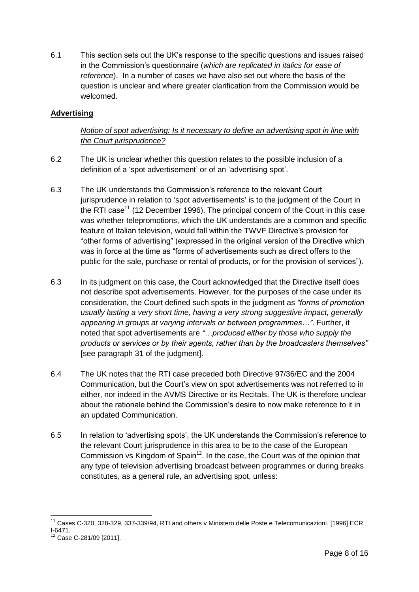6.1 This section sets out the UK's response to the specific questions and issues raised in the Commission's questionnaire (*which are replicated in italics for ease of reference*). In a number of cases we have also set out where the basis of the question is unclear and where greater clarification from the Commission would be welcomed.

#### **Advertising**

# *Notion of spot advertising: Is it necessary to define an advertising spot in line with the Court jurisprudence?*

- 6.2 The UK is unclear whether this question relates to the possible inclusion of a definition of a 'spot advertisement' or of an 'advertising spot'.
- 6.3 The UK understands the Commission's reference to the relevant Court jurisprudence in relation to 'spot advertisements' is to the judgment of the Court in the RTI case<sup>11</sup> (12 December 1996). The principal concern of the Court in this case was whether telepromotions, which the UK understands are a common and specific feature of Italian television, would fall within the TWVF Directive's provision for "other forms of advertising" (expressed in the original version of the Directive which was in force at the time as "forms of advertisements such as direct offers to the public for the sale, purchase or rental of products, or for the provision of services").
- 6.3 In its judgment on this case, the Court acknowledged that the Directive itself does not describe spot advertisements. However, for the purposes of the case under its consideration, the Court defined such spots in the judgment as *"forms of promotion usually lasting a very short time, having a very strong suggestive impact, generally appearing in groups at varying intervals or between programmes…"*. Further, it noted that spot advertisements are *"…produced either by those who supply the products or services or by their agents, rather than by the broadcasters themselves"* [see paragraph 31 of the judgment].
- 6.4 The UK notes that the RTI case preceded both Directive 97/36/EC and the 2004 Communication, but the Court's view on spot advertisements was not referred to in either, nor indeed in the AVMS Directive or its Recitals. The UK is therefore unclear about the rationale behind the Commission's desire to now make reference to it in an updated Communication.
- 6.5 In relation to 'advertising spots', the UK understands the Commission's reference to the relevant Court jurisprudence in this area to be to the case of the European Commission vs Kingdom of Spain<sup>12</sup>. In the case, the Court was of the opinion that any type of television advertising broadcast between programmes or during breaks constitutes, as a general rule, an advertising spot, unless:

 $\overline{\phantom{a}}$ 

<sup>11</sup> Cases C-320, 328-329, 337-339/94, RTI and others v Ministero delle Poste e Telecomunicazioni, [1996] ECR I-6471.

Case C-281/09 [2011].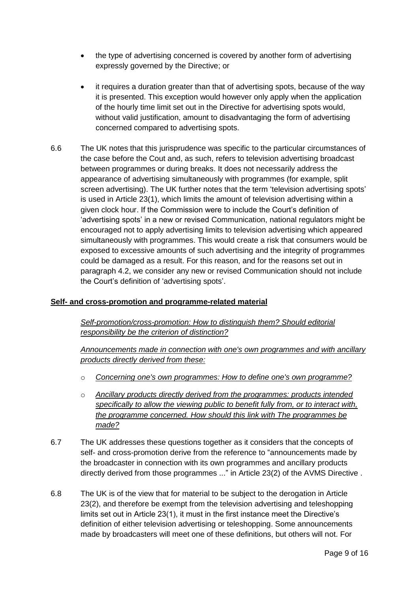- the type of advertising concerned is covered by another form of advertising expressly governed by the Directive; or
- it requires a duration greater than that of advertising spots, because of the way it is presented. This exception would however only apply when the application of the hourly time limit set out in the Directive for advertising spots would, without valid justification, amount to disadvantaging the form of advertising concerned compared to advertising spots.
- 6.6 The UK notes that this jurisprudence was specific to the particular circumstances of the case before the Cout and, as such, refers to television advertising broadcast between programmes or during breaks. It does not necessarily address the appearance of advertising simultaneously with programmes (for example, split screen advertising). The UK further notes that the term 'television advertising spots' is used in Article 23(1), which limits the amount of television advertising within a given clock hour. If the Commission were to include the Court's definition of 'advertising spots' in a new or revised Communication, national regulators might be encouraged not to apply advertising limits to television advertising which appeared simultaneously with programmes. This would create a risk that consumers would be exposed to excessive amounts of such advertising and the integrity of programmes could be damaged as a result. For this reason, and for the reasons set out in paragraph 4.2, we consider any new or revised Communication should not include the Court's definition of 'advertising spots'.

# **Self- and cross-promotion and programme-related material**

*Self-promotion/cross-promotion: How to distinguish them? Should editorial responsibility be the criterion of distinction?*

*Announcements made in connection with one's own programmes and with ancillary products directly derived from these:* 

- o *Concerning one's own programmes: How to define one's own programme?*
- o *Ancillary products directly derived from the programmes: products intended specifically to allow the viewing public to benefit fully from, or to interact with, the programme concerned. How should this link with The programmes be made?*
- 6.7 The UK addresses these questions together as it considers that the concepts of self- and cross-promotion derive from the reference to "announcements made by the broadcaster in connection with its own programmes and ancillary products directly derived from those programmes ..." in Article 23(2) of the AVMS Directive .
- 6.8 The UK is of the view that for material to be subject to the derogation in Article 23(2), and therefore be exempt from the television advertising and teleshopping limits set out in Article 23(1), it must in the first instance meet the Directive's definition of either television advertising or teleshopping. Some announcements made by broadcasters will meet one of these definitions, but others will not. For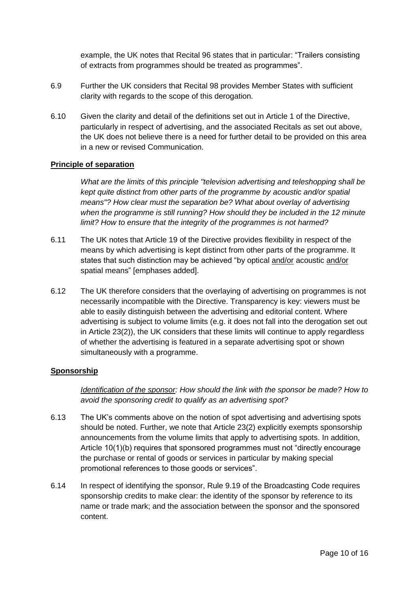example, the UK notes that Recital 96 states that in particular: "Trailers consisting of extracts from programmes should be treated as programmes".

- 6.9 Further the UK considers that Recital 98 provides Member States with sufficient clarity with regards to the scope of this derogation.
- 6.10 Given the clarity and detail of the definitions set out in Article 1 of the Directive, particularly in respect of advertising, and the associated Recitals as set out above, the UK does not believe there is a need for further detail to be provided on this area in a new or revised Communication.

#### **Principle of separation**

*What are the limits of this principle "television advertising and teleshopping shall be kept quite distinct from other parts of the programme by acoustic and/or spatial means"? How clear must the separation be? What about overlay of advertising when the programme is still running? How should they be included in the 12 minute limit? How to ensure that the integrity of the programmes is not harmed?*

- 6.11 The UK notes that Article 19 of the Directive provides flexibility in respect of the means by which advertising is kept distinct from other parts of the programme. It states that such distinction may be achieved "by optical and/or acoustic and/or spatial means" [emphases added].
- 6.12 The UK therefore considers that the overlaying of advertising on programmes is not necessarily incompatible with the Directive. Transparency is key: viewers must be able to easily distinguish between the advertising and editorial content. Where advertising is subject to volume limits (e.g. it does not fall into the derogation set out in Article 23(2)), the UK considers that these limits will continue to apply regardless of whether the advertising is featured in a separate advertising spot or shown simultaneously with a programme.

#### **Sponsorship**

*Identification of the sponsor: How should the link with the sponsor be made? How to avoid the sponsoring credit to qualify as an advertising spot?* 

- 6.13 The UK's comments above on the notion of spot advertising and advertising spots should be noted. Further, we note that Article 23(2) explicitly exempts sponsorship announcements from the volume limits that apply to advertising spots. In addition, Article 10(1)(b) requires that sponsored programmes must not "directly encourage the purchase or rental of goods or services in particular by making special promotional references to those goods or services".
- 6.14 In respect of identifying the sponsor, Rule 9.19 of the Broadcasting Code requires sponsorship credits to make clear: the identity of the sponsor by reference to its name or trade mark; and the association between the sponsor and the sponsored content.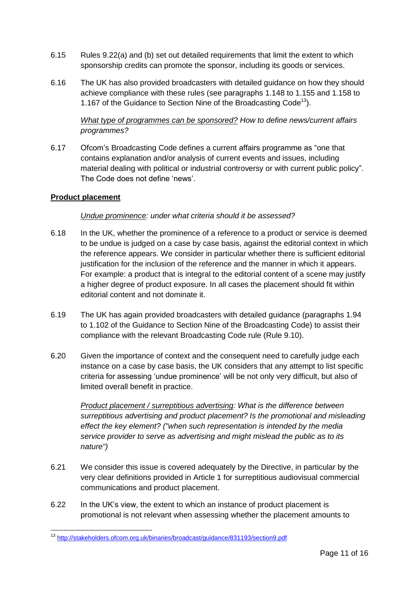- 6.15 Rules 9.22(a) and (b) set out detailed requirements that limit the extent to which sponsorship credits can promote the sponsor, including its goods or services.
- 6.16 The UK has also provided broadcasters with detailed guidance on how they should achieve compliance with these rules (see paragraphs 1.148 to 1.155 and 1.158 to 1.167 of the Guidance to Section Nine of the Broadcasting Code<sup>13</sup>).

# *What type of programmes can be sponsored? How to define news/current affairs programmes?*

6.17 Ofcom's Broadcasting Code defines a current affairs programme as "one that contains explanation and/or analysis of current events and issues, including material dealing with political or industrial controversy or with current public policy". The Code does not define 'news'.

#### **Product placement**

#### *Undue prominence: under what criteria should it be assessed?*

- 6.18 In the UK, whether the prominence of a reference to a product or service is deemed to be undue is judged on a case by case basis, against the editorial context in which the reference appears. We consider in particular whether there is sufficient editorial justification for the inclusion of the reference and the manner in which it appears. For example: a product that is integral to the editorial content of a scene may justify a higher degree of product exposure. In all cases the placement should fit within editorial content and not dominate it.
- 6.19 The UK has again provided broadcasters with detailed guidance (paragraphs 1.94 to 1.102 of the Guidance to Section Nine of the Broadcasting Code) to assist their compliance with the relevant Broadcasting Code rule (Rule 9.10).
- 6.20 Given the importance of context and the consequent need to carefully judge each instance on a case by case basis, the UK considers that any attempt to list specific criteria for assessing 'undue prominence' will be not only very difficult, but also of limited overall benefit in practice.

*Product placement / surreptitious advertising: What is the difference between surreptitious advertising and product placement? Is the promotional and misleading effect the key element? ("when such representation is intended by the media service provider to serve as advertising and might mislead the public as to its nature")*

- 6.21 We consider this issue is covered adequately by the Directive, in particular by the very clear definitions provided in Article 1 for surreptitious audiovisual commercial communications and product placement.
- 6.22 In the UK's view, the extent to which an instance of product placement is promotional is not relevant when assessing whether the placement amounts to

**<sup>.</sup>** <sup>13</sup> <http://stakeholders.ofcom.org.uk/binaries/broadcast/guidance/831193/section9.pdf>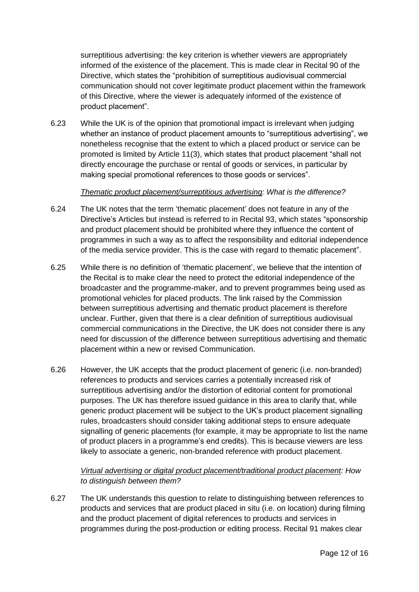surreptitious advertising: the key criterion is whether viewers are appropriately informed of the existence of the placement. This is made clear in Recital 90 of the Directive, which states the "prohibition of surreptitious audiovisual commercial communication should not cover legitimate product placement within the framework of this Directive, where the viewer is adequately informed of the existence of product placement".

6.23 While the UK is of the opinion that promotional impact is irrelevant when judging whether an instance of product placement amounts to "surreptitious advertising", we nonetheless recognise that the extent to which a placed product or service can be promoted is limited by Article 11(3), which states that product placement "shall not directly encourage the purchase or rental of goods or services, in particular by making special promotional references to those goods or services".

#### *Thematic product placement/surreptitious advertising: What is the difference?*

- 6.24 The UK notes that the term 'thematic placement' does not feature in any of the Directive's Articles but instead is referred to in Recital 93, which states "sponsorship and product placement should be prohibited where they influence the content of programmes in such a way as to affect the responsibility and editorial independence of the media service provider. This is the case with regard to thematic placement".
- 6.25 While there is no definition of 'thematic placement', we believe that the intention of the Recital is to make clear the need to protect the editorial independence of the broadcaster and the programme-maker, and to prevent programmes being used as promotional vehicles for placed products. The link raised by the Commission between surreptitious advertising and thematic product placement is therefore unclear. Further, given that there is a clear definition of surreptitious audiovisual commercial communications in the Directive, the UK does not consider there is any need for discussion of the difference between surreptitious advertising and thematic placement within a new or revised Communication.
- 6.26 However, the UK accepts that the product placement of generic (i.e. non-branded) references to products and services carries a potentially increased risk of surreptitious advertising and/or the distortion of editorial content for promotional purposes. The UK has therefore issued guidance in this area to clarify that, while generic product placement will be subject to the UK's product placement signalling rules, broadcasters should consider taking additional steps to ensure adequate signalling of generic placements (for example, it may be appropriate to list the name of product placers in a programme's end credits). This is because viewers are less likely to associate a generic, non-branded reference with product placement.

#### *Virtual advertising or digital product placement/traditional product placement: How to distinguish between them?*

6.27 The UK understands this question to relate to distinguishing between references to products and services that are product placed in situ (i.e. on location) during filming and the product placement of digital references to products and services in programmes during the post-production or editing process. Recital 91 makes clear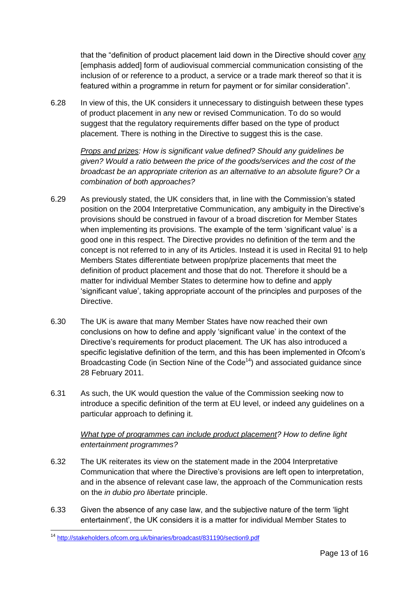that the "definition of product placement laid down in the Directive should cover any [emphasis added] form of audiovisual commercial communication consisting of the inclusion of or reference to a product, a service or a trade mark thereof so that it is featured within a programme in return for payment or for similar consideration".

6.28 In view of this, the UK considers it unnecessary to distinguish between these types of product placement in any new or revised Communication. To do so would suggest that the regulatory requirements differ based on the type of product placement. There is nothing in the Directive to suggest this is the case.

*Props and prizes: How is significant value defined? Should any guidelines be given? Would a ratio between the price of the goods/services and the cost of the broadcast be an appropriate criterion as an alternative to an absolute figure? Or a combination of both approaches?*

- 6.29 As previously stated, the UK considers that, in line with the Commission's stated position on the 2004 Interpretative Communication, any ambiguity in the Directive's provisions should be construed in favour of a broad discretion for Member States when implementing its provisions. The example of the term 'significant value' is a good one in this respect. The Directive provides no definition of the term and the concept is not referred to in any of its Articles. Instead it is used in Recital 91 to help Members States differentiate between prop/prize placements that meet the definition of product placement and those that do not. Therefore it should be a matter for individual Member States to determine how to define and apply 'significant value', taking appropriate account of the principles and purposes of the Directive.
- 6.30 The UK is aware that many Member States have now reached their own conclusions on how to define and apply 'significant value' in the context of the Directive's requirements for product placement. The UK has also introduced a specific legislative definition of the term, and this has been implemented in Ofcom's Broadcasting Code (in Section Nine of the Code<sup>14</sup>) and associated guidance since 28 February 2011.
- 6.31 As such, the UK would question the value of the Commission seeking now to introduce a specific definition of the term at EU level, or indeed any guidelines on a particular approach to defining it.

# *What type of programmes can include product placement? How to define light entertainment programmes?*

- 6.32 The UK reiterates its view on the statement made in the 2004 Interpretative Communication that where the Directive's provisions are left open to interpretation, and in the absence of relevant case law, the approach of the Communication rests on the *in dubio pro libertate* principle.
- 6.33 Given the absence of any case law, and the subjective nature of the term 'light entertainment', the UK considers it is a matter for individual Member States to

**<sup>.</sup>** <sup>14</sup> <http://stakeholders.ofcom.org.uk/binaries/broadcast/831190/section9.pdf>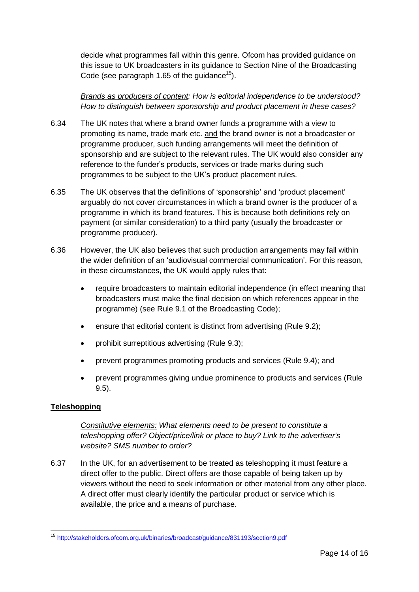decide what programmes fall within this genre. Ofcom has provided guidance on this issue to UK broadcasters in its guidance to Section Nine of the Broadcasting Code (see paragraph 1.65 of the quidance<sup>15</sup>).

*Brands as producers of content: How is editorial independence to be understood? How to distinguish between sponsorship and product placement in these cases?*

- 6.34 The UK notes that where a brand owner funds a programme with a view to promoting its name, trade mark etc. and the brand owner is not a broadcaster or programme producer, such funding arrangements will meet the definition of sponsorship and are subject to the relevant rules. The UK would also consider any reference to the funder's products, services or trade marks during such programmes to be subject to the UK's product placement rules.
- 6.35 The UK observes that the definitions of 'sponsorship' and 'product placement' arguably do not cover circumstances in which a brand owner is the producer of a programme in which its brand features. This is because both definitions rely on payment (or similar consideration) to a third party (usually the broadcaster or programme producer).
- 6.36 However, the UK also believes that such production arrangements may fall within the wider definition of an 'audiovisual commercial communication'. For this reason, in these circumstances, the UK would apply rules that:
	- require broadcasters to maintain editorial independence (in effect meaning that broadcasters must make the final decision on which references appear in the programme) (see Rule 9.1 of the Broadcasting Code);
	- ensure that editorial content is distinct from advertising (Rule 9.2);
	- prohibit surreptitious advertising (Rule 9.3);
	- prevent programmes promoting products and services (Rule 9.4); and
	- prevent programmes giving undue prominence to products and services (Rule 9.5).

# **Teleshopping**

*Constitutive elements: What elements need to be present to constitute a teleshopping offer? Object/price/link or place to buy? Link to the advertiser's website? SMS number to order?* 

6.37 In the UK, for an advertisement to be treated as teleshopping it must feature a direct offer to the public. Direct offers are those capable of being taken up by viewers without the need to seek information or other material from any other place. A direct offer must clearly identify the particular product or service which is available, the price and a means of purchase.

**<sup>.</sup>** <sup>15</sup> <http://stakeholders.ofcom.org.uk/binaries/broadcast/guidance/831193/section9.pdf>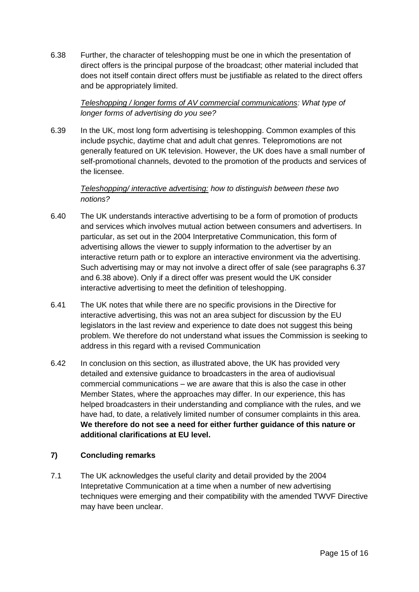6.38 Further, the character of teleshopping must be one in which the presentation of direct offers is the principal purpose of the broadcast; other material included that does not itself contain direct offers must be justifiable as related to the direct offers and be appropriately limited.

#### *Teleshopping / longer forms of AV commercial communications: What type of longer forms of advertising do you see?*

6.39 In the UK, most long form advertising is teleshopping. Common examples of this include psychic, daytime chat and adult chat genres. Telepromotions are not generally featured on UK television. However, the UK does have a small number of self-promotional channels, devoted to the promotion of the products and services of the licensee.

*Teleshopping/ interactive advertising: how to distinguish between these two notions?*

- 6.40 The UK understands interactive advertising to be a form of promotion of products and services which involves mutual action between consumers and advertisers. In particular, as set out in the 2004 Interpretative Communication, this form of advertising allows the viewer to supply information to the advertiser by an interactive return path or to explore an interactive environment via the advertising. Such advertising may or may not involve a direct offer of sale (see paragraphs 6.37 and 6.38 above). Only if a direct offer was present would the UK consider interactive advertising to meet the definition of teleshopping.
- 6.41 The UK notes that while there are no specific provisions in the Directive for interactive advertising, this was not an area subject for discussion by the EU legislators in the last review and experience to date does not suggest this being problem. We therefore do not understand what issues the Commission is seeking to address in this regard with a revised Communication
- 6.42 In conclusion on this section, as illustrated above, the UK has provided very detailed and extensive guidance to broadcasters in the area of audiovisual commercial communications – we are aware that this is also the case in other Member States, where the approaches may differ. In our experience, this has helped broadcasters in their understanding and compliance with the rules, and we have had, to date, a relatively limited number of consumer complaints in this area. **We therefore do not see a need for either further guidance of this nature or additional clarifications at EU level.**

#### **7) Concluding remarks**

7.1 The UK acknowledges the useful clarity and detail provided by the 2004 Intepretative Communication at a time when a number of new advertising techniques were emerging and their compatibility with the amended TWVF Directive may have been unclear.